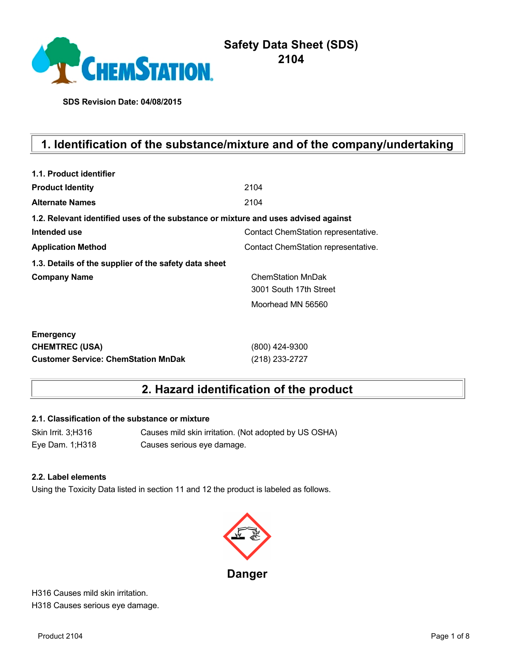

# **Safety Data Sheet (SDS) 2104**

**SDS Revision Date: 04/08/2015**

# **1. Identification of the substance/mixture and of the company/undertaking**

| 1.1. Product identifier                                                            |                                     |
|------------------------------------------------------------------------------------|-------------------------------------|
| <b>Product Identity</b>                                                            | 2104                                |
| <b>Alternate Names</b>                                                             | 2104                                |
| 1.2. Relevant identified uses of the substance or mixture and uses advised against |                                     |
| Intended use                                                                       | Contact ChemStation representative. |
| <b>Application Method</b>                                                          | Contact ChemStation representative. |
| 1.3. Details of the supplier of the safety data sheet                              |                                     |
| <b>Company Name</b>                                                                | <b>ChemStation MnDak</b>            |
|                                                                                    | 3001 South 17th Street              |
|                                                                                    | Moorhead MN 56560                   |
| <b>Emergency</b>                                                                   |                                     |
| <b>CHEMTREC (USA)</b>                                                              | (800) 424-9300                      |
| <b>Customer Service: ChemStation MnDak</b>                                         | (218) 233-2727                      |

# **2. Hazard identification of the product**

#### **2.1. Classification of the substance or mixture**

Skin Irrit. 3;H316 Causes mild skin irritation. (Not adopted by US OSHA) Eye Dam. 1;H318 Causes serious eye damage.

#### **2.2. Label elements**

Using the Toxicity Data listed in section 11 and 12 the product is labeled as follows.



H316 Causes mild skin irritation. H318 Causes serious eye damage.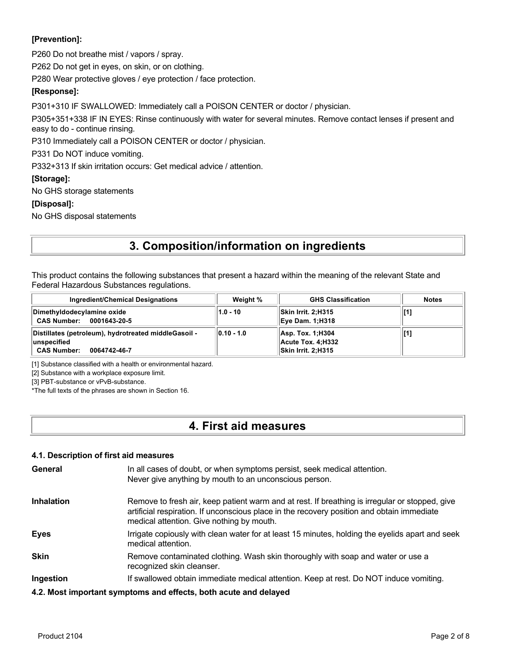### **[Prevention]:**

P260 Do not breathe mist / vapors / spray.

P262 Do not get in eyes, on skin, or on clothing.

P280 Wear protective gloves / eye protection / face protection.

### **[Response]:**

P301+310 IF SWALLOWED: Immediately call a POISON CENTER or doctor / physician.

P305+351+338 IF IN EYES: Rinse continuously with water for several minutes. Remove contact lenses if present and easy to do - continue rinsing.

P310 Immediately call a POISON CENTER or doctor / physician.

P331 Do NOT induce vomiting.

P332+313 If skin irritation occurs: Get medical advice / attention.

#### **[Storage]:**

No GHS storage statements

#### **[Disposal]:**

No GHS disposal statements

# **3. Composition/information on ingredients**

This product contains the following substances that present a hazard within the meaning of the relevant State and Federal Hazardous Substances regulations.

| <b>Ingredient/Chemical Designations</b>                                                                    | Weight %         | <b>GHS Classification</b>                                    | <b>Notes</b> |
|------------------------------------------------------------------------------------------------------------|------------------|--------------------------------------------------------------|--------------|
| Dimethyldodecylamine oxide<br><b>CAS Number:</b><br>0001643-20-5                                           | $1.0 - 10$       | Skin Irrit. 2:H315<br><b>Eye Dam. 1:H318</b>                 |              |
| Distillates (petroleum), hydrotreated middleGasoil -<br>∣unspecified<br><b>CAS Number:</b><br>0064742-46-7 | $  0.10 - 1.0  $ | Asp. Tox. 1; H304<br>Acute Tox. 4:H332<br>Skin Irrit. 2:H315 |              |

[1] Substance classified with a health or environmental hazard.

[2] Substance with a workplace exposure limit.

[3] PBT-substance or vPvB-substance.

\*The full texts of the phrases are shown in Section 16.

## **4. First aid measures**

### **4.1. Description of first aid measures**

| General           | In all cases of doubt, or when symptoms persist, seek medical attention.<br>Never give anything by mouth to an unconscious person.                                                                                                        |
|-------------------|-------------------------------------------------------------------------------------------------------------------------------------------------------------------------------------------------------------------------------------------|
| <b>Inhalation</b> | Remove to fresh air, keep patient warm and at rest. If breathing is irregular or stopped, give<br>artificial respiration. If unconscious place in the recovery position and obtain immediate<br>medical attention. Give nothing by mouth. |
| <b>Eyes</b>       | Irrigate copiously with clean water for at least 15 minutes, holding the eyelids apart and seek<br>medical attention.                                                                                                                     |
| <b>Skin</b>       | Remove contaminated clothing. Wash skin thoroughly with soap and water or use a<br>recognized skin cleanser.                                                                                                                              |
| Ingestion         | If swallowed obtain immediate medical attention. Keep at rest. Do NOT induce vomiting.                                                                                                                                                    |
|                   | 4.2. Most important symptoms and effects, both acute and delayed                                                                                                                                                                          |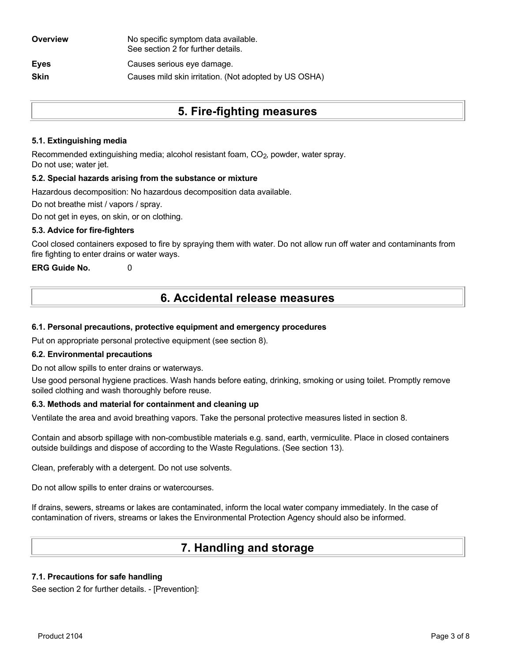| Overview    | No specific symptom data available.<br>See section 2 for further details. |
|-------------|---------------------------------------------------------------------------|
| <b>Eyes</b> | Causes serious eye damage.                                                |
| <b>Skin</b> | Causes mild skin irritation. (Not adopted by US OSHA)                     |
|             |                                                                           |

# **5. Fire-fighting measures**

### **5.1. Extinguishing media**

Recommended extinguishing media; alcohol resistant foam, CO<sub>2</sub>, powder, water spray. Do not use; water jet.

#### **5.2. Special hazards arising from the substance or mixture**

Hazardous decomposition: No hazardous decomposition data available.

Do not breathe mist / vapors / spray.

Do not get in eyes, on skin, or on clothing.

### **5.3. Advice for fire-fighters**

Cool closed containers exposed to fire by spraying them with water. Do not allow run off water and contaminants from fire fighting to enter drains or water ways.

**ERG Guide No.** 0

# **6. Accidental release measures**

### **6.1. Personal precautions, protective equipment and emergency procedures**

Put on appropriate personal protective equipment (see section 8).

#### **6.2. Environmental precautions**

Do not allow spills to enter drains or waterways.

Use good personal hygiene practices. Wash hands before eating, drinking, smoking or using toilet. Promptly remove soiled clothing and wash thoroughly before reuse.

#### **6.3. Methods and material for containment and cleaning up**

Ventilate the area and avoid breathing vapors. Take the personal protective measures listed in section 8.

Contain and absorb spillage with non-combustible materials e.g. sand, earth, vermiculite. Place in closed containers outside buildings and dispose of according to the Waste Regulations. (See section 13).

Clean, preferably with a detergent. Do not use solvents.

Do not allow spills to enter drains or watercourses.

If drains, sewers, streams or lakes are contaminated, inform the local water company immediately. In the case of contamination of rivers, streams or lakes the Environmental Protection Agency should also be informed.

# **7. Handling and storage**

### **7.1. Precautions for safe handling**

See section 2 for further details. - [Prevention]: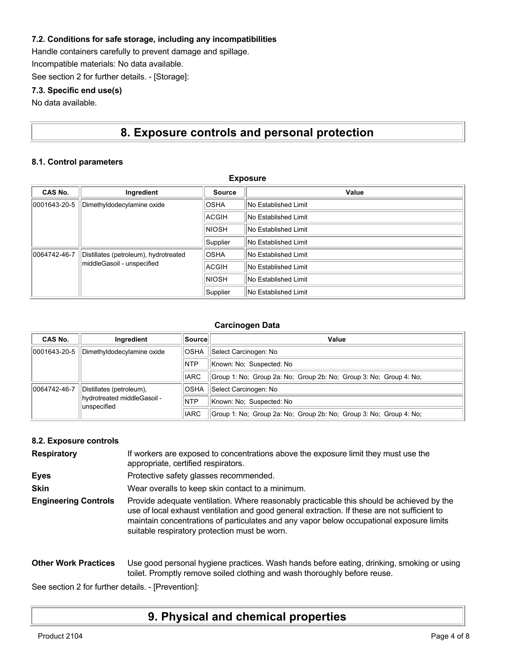### **7.2. Conditions for safe storage, including any incompatibilities**

Handle containers carefully to prevent damage and spillage.

Incompatible materials: No data available.

See section 2 for further details. - [Storage]:

### **7.3. Specific end use(s)**

No data available.

# **8. Exposure controls and personal protection**

**Exposure**

### **8.1. Control parameters**

| Exposure                   |                                       |                             |                             |
|----------------------------|---------------------------------------|-----------------------------|-----------------------------|
| CAS No.                    | Ingredient                            | <b>Source</b>               | Value                       |
| 0001643-20-5               | Dimethyldodecylamine oxide            | <b>OSHA</b>                 | <b>No Established Limit</b> |
|                            |                                       | ACGIH                       | No Established Limit        |
|                            |                                       | <b>NIOSH</b>                | No Established Limit        |
|                            | Supplier                              | <b>No Established Limit</b> |                             |
| 0064742-46-7               | Distillates (petroleum), hydrotreated | <b>OSHA</b>                 | No Established Limit        |
| middleGasoil - unspecified | ACGIH                                 | No Established Limit        |                             |
|                            | <b>NIOSH</b>                          | No Established Limit        |                             |
|                            |                                       | Supplier                    | No Established Limit        |

#### **Carcinogen Data**

| CAS No.      | Ingredient                                  | Source      | Value                                                              |
|--------------|---------------------------------------------|-------------|--------------------------------------------------------------------|
| 0001643-20-5 | Dimethyldodecylamine oxide                  | <b>OSHA</b> | Select Carcinogen: No                                              |
|              |                                             | <b>NTP</b>  | Known: No: Suspected: No                                           |
|              |                                             | <b>IARC</b> | Group 1: No: Group 2a: No: Group 2b: No: Group 3: No: Group 4: No: |
| 0064742-46-7 | Distillates (petroleum),                    | <b>OSHA</b> | Select Carcinogen: No                                              |
|              | hydrotreated middleGasoil -<br>lunspecified | <b>NTP</b>  | Known: No: Suspected: No                                           |
|              |                                             | <b>IARC</b> | Group 1: No; Group 2a: No; Group 2b: No; Group 3: No; Group 4: No; |

#### **8.2. Exposure controls**

| <b>Respiratory</b>          | If workers are exposed to concentrations above the exposure limit they must use the<br>appropriate, certified respirators.                                                                                                                                                                                                             |
|-----------------------------|----------------------------------------------------------------------------------------------------------------------------------------------------------------------------------------------------------------------------------------------------------------------------------------------------------------------------------------|
| <b>Eyes</b>                 | Protective safety glasses recommended.                                                                                                                                                                                                                                                                                                 |
| <b>Skin</b>                 | Wear overalls to keep skin contact to a minimum.                                                                                                                                                                                                                                                                                       |
| <b>Engineering Controls</b> | Provide adequate ventilation. Where reasonably practicable this should be achieved by the<br>use of local exhaust ventilation and good general extraction. If these are not sufficient to<br>maintain concentrations of particulates and any vapor below occupational exposure limits<br>suitable respiratory protection must be worn. |

#### **Other Work Practices** Use good personal hygiene practices. Wash hands before eating, drinking, smoking or using toilet. Promptly remove soiled clothing and wash thoroughly before reuse.

See section 2 for further details. - [Prevention]:

## **9. Physical and chemical properties**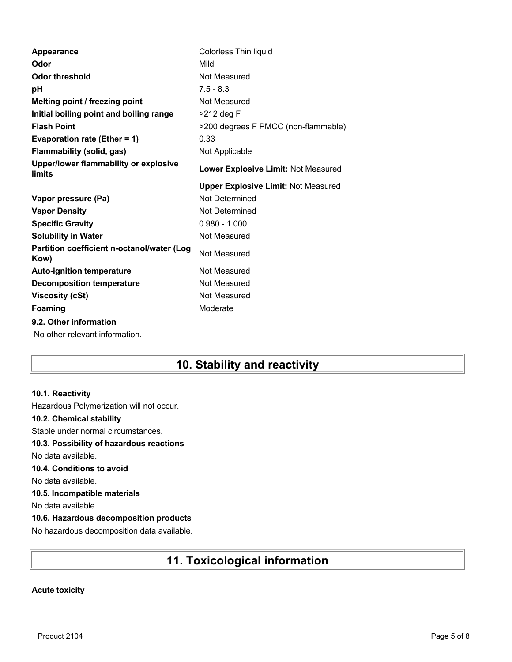| Appearance                                         | Colorless Thin liquid                      |
|----------------------------------------------------|--------------------------------------------|
| Odor                                               | Mild                                       |
| Odor threshold                                     | Not Measured                               |
| рH                                                 | $7.5 - 8.3$                                |
| Melting point / freezing point                     | Not Measured                               |
| Initial boiling point and boiling range            | $>212$ deg F                               |
| <b>Flash Point</b>                                 | >200 degrees F PMCC (non-flammable)        |
| Evaporation rate (Ether = 1)                       | 0.33                                       |
| <b>Flammability (solid, gas)</b>                   | Not Applicable                             |
| Upper/lower flammability or explosive<br>limits    | Lower Explosive Limit: Not Measured        |
|                                                    | <b>Upper Explosive Limit: Not Measured</b> |
| Vapor pressure (Pa)                                | Not Determined                             |
| <b>Vapor Density</b>                               | Not Determined                             |
| <b>Specific Gravity</b>                            | $0.980 - 1.000$                            |
| <b>Solubility in Water</b>                         | Not Measured                               |
| Partition coefficient n-octanol/water (Log<br>Kow) | Not Measured                               |
| <b>Auto-ignition temperature</b>                   | Not Measured                               |
| <b>Decomposition temperature</b>                   | Not Measured                               |
| <b>Viscosity (cSt)</b>                             | Not Measured                               |
| Foaming                                            | Moderate                                   |
| 9.2. Other information                             |                                            |
| No other relevant information.                     |                                            |

# **10. Stability and reactivity**

### **10.1. Reactivity**

Hazardous Polymerization will not occur.

### **10.2. Chemical stability**

Stable under normal circumstances.

### **10.3. Possibility of hazardous reactions**

No data available.

### **10.4. Conditions to avoid**

No data available.

### **10.5. Incompatible materials**

No data available.

### **10.6. Hazardous decomposition products**

No hazardous decomposition data available.

# **11. Toxicological information**

### **Acute toxicity**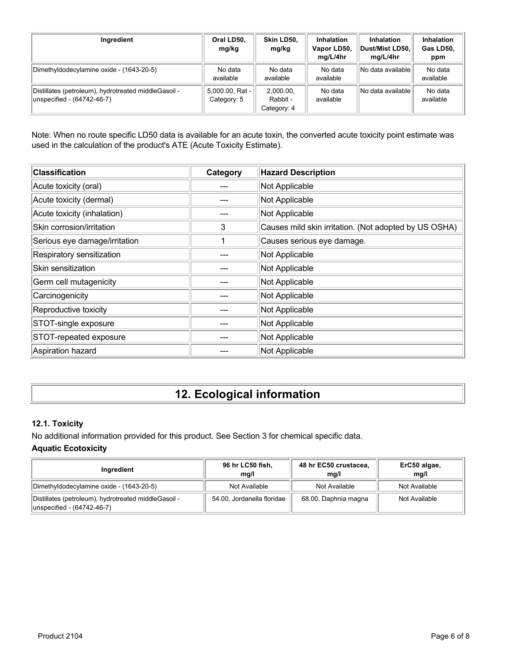| Ingredient                                                                         | Oral LD50.<br>mg/kg            | Skin LD50.<br>mg/kg                  | <b>Inhalation</b><br>Vapor LD50,<br>mg/L/4hr | <b>Inhalation</b><br>Dust/Mist LD50.<br>mg/L/4hr | Inhalation<br>Gas LD50,<br>ppm |
|------------------------------------------------------------------------------------|--------------------------------|--------------------------------------|----------------------------------------------|--------------------------------------------------|--------------------------------|
| Dimethyldodecylamine oxide - (1643-20-5)                                           | No data<br>available           | No data<br>available                 | No data<br>available                         | No data available                                | No data<br>available           |
| Distillates (petroleum), hydrotreated middleGasoil -<br>unspecified - (64742-46-7) | 5,000.00, Rat -<br>Category: 5 | 2.000.00.<br>Rabbit -<br>Category: 4 | No data<br>available                         | No data availablel                               | No data<br>available           |

Note: When no route specific LD50 data is available for an acute toxin, the converted acute toxicity point estimate was used in the calculation of the product's ATE (Acute Toxicity Estimate).

| <b>Classification</b>         | Category | <b>Hazard Description</b>                             |
|-------------------------------|----------|-------------------------------------------------------|
| Acute toxicity (oral)         |          | Not Applicable                                        |
| Acute toxicity (dermal)       |          | Not Applicable                                        |
| Acute toxicity (inhalation)   |          | Not Applicable                                        |
| Skin corrosion/irritation     | 3        | Causes mild skin irritation. (Not adopted by US OSHA) |
| Serious eye damage/irritation |          | Causes serious eye damage.                            |
| Respiratory sensitization     |          | Not Applicable                                        |
| Skin sensitization            |          | Not Applicable                                        |
| Germ cell mutagenicity        |          | Not Applicable                                        |
| Carcinogenicity               |          | Not Applicable                                        |
| Reproductive toxicity         |          | Not Applicable                                        |
| STOT-single exposure          |          | Not Applicable                                        |
| STOT-repeated exposure        |          | Not Applicable                                        |
| Aspiration hazard             |          | Not Applicable                                        |

# **12. Ecological information**

## **12.1. Toxicity**

No additional information provided for this product. See Section 3 for chemical specific data.

### **Aquatic Ecotoxicity**

| Ingredient                                                                          | 96 hr LC50 fish,<br>mg/l   | 48 hr EC50 crustacea,<br>ma/l | ErC50 algae,<br>mq/l |
|-------------------------------------------------------------------------------------|----------------------------|-------------------------------|----------------------|
| Dimethyldodecylamine oxide - (1643-20-5)                                            | Not Available              | Not Available                 | Not Available        |
| Distillates (petroleum), hydrotreated middle Gasoil -<br>unspecified - (64742-46-7) | 54.00, Jordanella floridae | 68.00, Daphnia magna          | Not Available        |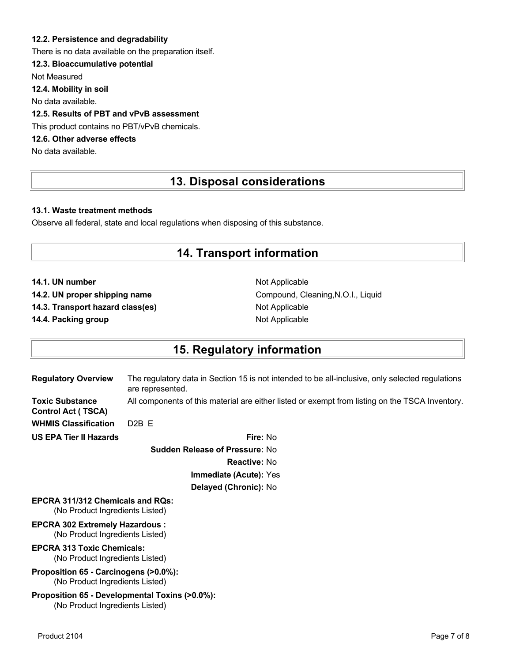### **12.2. Persistence and degradability**

There is no data available on the preparation itself.

### **12.3. Bioaccumulative potential**

Not Measured

**12.4. Mobility in soil**

No data available.

### **12.5. Results of PBT and vPvB assessment**

This product contains no PBT/vPvB chemicals.

## **12.6. Other adverse effects**

No data available.

# **13. Disposal considerations**

#### **13.1. Waste treatment methods**

Observe all federal, state and local regulations when disposing of this substance.

## **14. Transport information**

**14.1. UN number** Not Applicable

**14.3. Transport hazard class(es)** Not Applicable

**14.4. Packing group Not Applicable Not Applicable** 

14.2. UN proper shipping name **Compound, Cleaning, N.O.I., Liquid** Compound, Cleaning, N.O.I., Liquid

## **15. Regulatory information**

| <b>Regulatory Overview</b>                                                        | The regulatory data in Section 15 is not intended to be all-inclusive, only selected regulations<br>are represented. |
|-----------------------------------------------------------------------------------|----------------------------------------------------------------------------------------------------------------------|
| <b>Toxic Substance</b><br><b>Control Act (TSCA)</b>                               | All components of this material are either listed or exempt from listing on the TSCA Inventory.                      |
| <b>WHMIS Classification</b>                                                       | D <sub>2</sub> B <sub>E</sub>                                                                                        |
| <b>US EPA Tier II Hazards</b>                                                     | Fire: No                                                                                                             |
|                                                                                   | <b>Sudden Release of Pressure: No</b>                                                                                |
|                                                                                   | <b>Reactive: No</b>                                                                                                  |
|                                                                                   | Immediate (Acute): Yes                                                                                               |
|                                                                                   | Delayed (Chronic): No                                                                                                |
| <b>EPCRA 311/312 Chemicals and RQs:</b><br>(No Product Ingredients Listed)        |                                                                                                                      |
| <b>EPCRA 302 Extremely Hazardous:</b><br>(No Product Ingredients Listed)          |                                                                                                                      |
| <b>EPCRA 313 Toxic Chemicals:</b><br>(No Product Ingredients Listed)              |                                                                                                                      |
| Proposition 65 - Carcinogens (>0.0%):<br>(No Product Ingredients Listed)          |                                                                                                                      |
| Proposition 65 - Developmental Toxins (>0.0%):<br>(No Product Ingredients Listed) |                                                                                                                      |